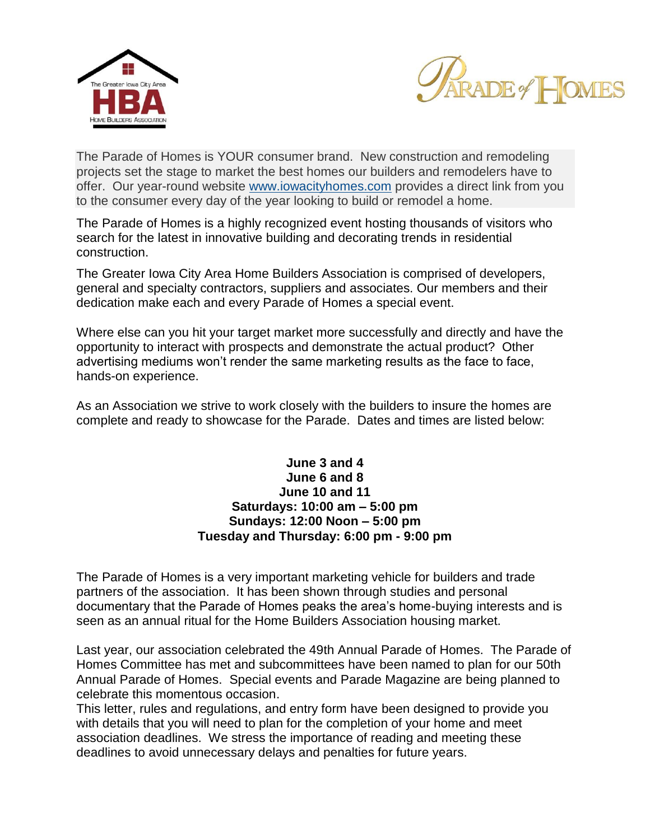



The Parade of Homes is YOUR consumer brand. New construction and remodeling projects set the stage to market the best homes our builders and remodelers have to offer. Our year-round website www.iowacityhomes.com provides a direct link from you to the consumer every day of the year looking to build or remodel a home.

The Parade of Homes is a highly recognized event hosting thousands of visitors who search for the latest in innovative building and decorating trends in residential construction.

The Greater Iowa City Area Home Builders Association is comprised of developers, general and specialty contractors, suppliers and associates. Our members and their dedication make each and every Parade of Homes a special event.

Where else can you hit your target market more successfully and directly and have the opportunity to interact with prospects and demonstrate the actual product? Other advertising mediums won't render the same marketing results as the face to face, hands-on experience.

As an Association we strive to work closely with the builders to insure the homes are complete and ready to showcase for the Parade. Dates and times are listed below:

# **June 3 and 4 June 6 and 8 June 10 and 11 Saturdays: 10:00 am – 5:00 pm Sundays: 12:00 Noon – 5:00 pm Tuesday and Thursday: 6:00 pm - 9:00 pm**

The Parade of Homes is a very important marketing vehicle for builders and trade partners of the association. It has been shown through studies and personal documentary that the Parade of Homes peaks the area's home-buying interests and is seen as an annual ritual for the Home Builders Association housing market.

Last year, our association celebrated the 49th Annual Parade of Homes. The Parade of Homes Committee has met and subcommittees have been named to plan for our 50th Annual Parade of Homes. Special events and Parade Magazine are being planned to celebrate this momentous occasion.

This letter, rules and regulations, and entry form have been designed to provide you with details that you will need to plan for the completion of your home and meet association deadlines. We stress the importance of reading and meeting these deadlines to avoid unnecessary delays and penalties for future years.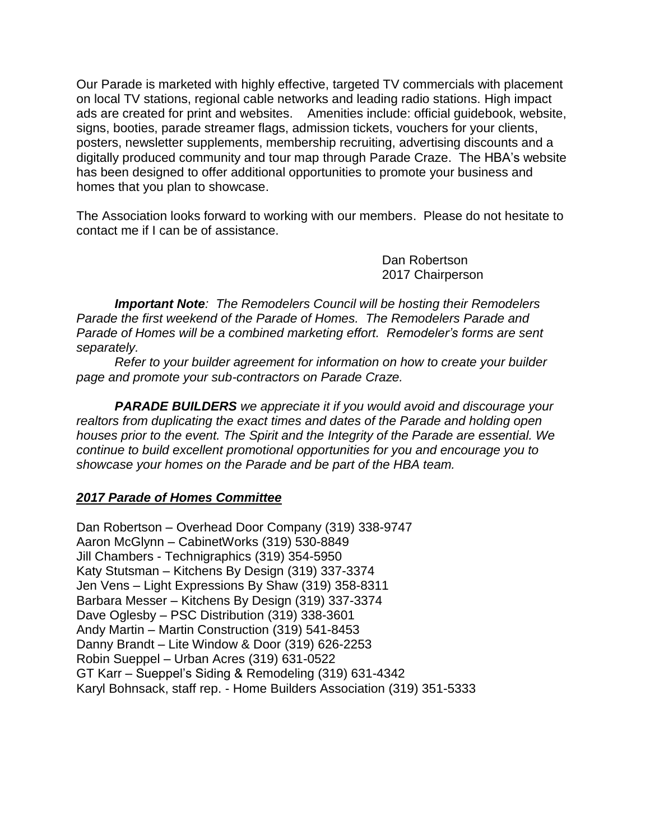Our Parade is marketed with highly effective, targeted TV commercials with placement on local TV stations, regional cable networks and leading radio stations. High impact ads are created for print and websites. Amenities include: official guidebook, website, signs, booties, parade streamer flags, admission tickets, vouchers for your clients, posters, newsletter supplements, membership recruiting, advertising discounts and a digitally produced community and tour map through Parade Craze. The HBA's website has been designed to offer additional opportunities to promote your business and homes that you plan to showcase.

The Association looks forward to working with our members. Please do not hesitate to contact me if I can be of assistance.

> Dan Robertson 2017 Chairperson

*Important Note: The Remodelers Council will be hosting their Remodelers Parade the first weekend of the Parade of Homes. The Remodelers Parade and Parade of Homes will be a combined marketing effort. Remodeler's forms are sent separately.*

*Refer to your builder agreement for information on how to create your builder page and promote your sub-contractors on Parade Craze.*

*PARADE BUILDERS we appreciate it if you would avoid and discourage your realtors from duplicating the exact times and dates of the Parade and holding open houses prior to the event. The Spirit and the Integrity of the Parade are essential. We continue to build excellent promotional opportunities for you and encourage you to showcase your homes on the Parade and be part of the HBA team.*

# *2017 Parade of Homes Committee*

Dan Robertson – Overhead Door Company (319) 338-9747 Aaron McGlynn – CabinetWorks (319) 530-8849 Jill Chambers - Technigraphics (319) 354-5950 Katy Stutsman – Kitchens By Design (319) 337-3374 Jen Vens – Light Expressions By Shaw (319) 358-8311 Barbara Messer – Kitchens By Design (319) 337-3374 Dave Oglesby – PSC Distribution (319) 338-3601 Andy Martin – Martin Construction (319) 541-8453 Danny Brandt – Lite Window & Door (319) 626-2253 Robin Sueppel – Urban Acres (319) 631-0522 GT Karr – Sueppel's Siding & Remodeling (319) 631-4342 Karyl Bohnsack, staff rep. - Home Builders Association (319) 351-5333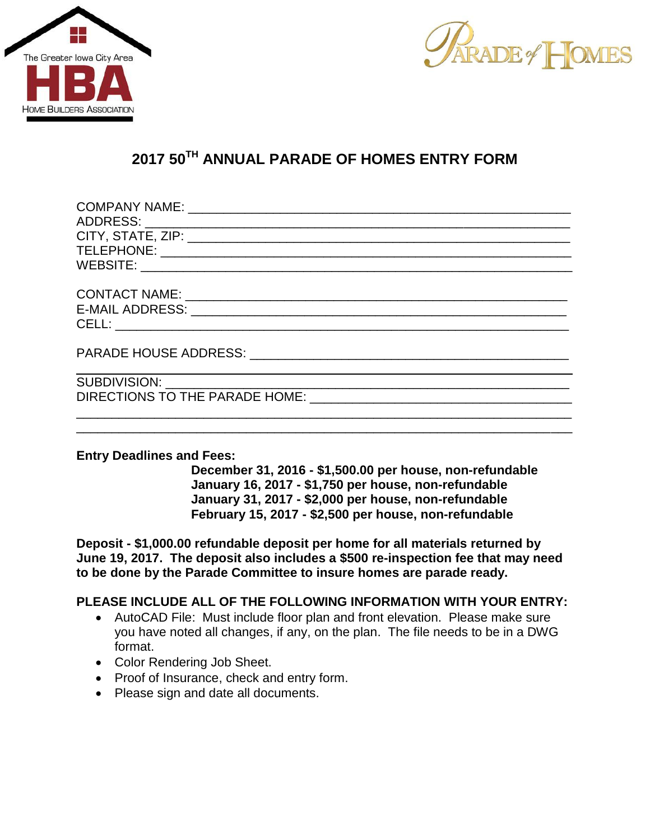



# **2017 50TH ANNUAL PARADE OF HOMES ENTRY FORM**

\_\_\_\_\_\_\_\_\_\_\_\_\_\_\_\_\_\_\_\_\_\_\_\_\_\_\_\_\_\_\_\_\_\_\_\_\_\_\_\_\_\_\_\_\_\_\_\_\_\_\_\_\_\_\_\_\_\_\_\_\_\_\_\_\_\_\_\_\_\_

#### **Entry Deadlines and Fees:**

**December 31, 2016 - \$1,500.00 per house, non-refundable January 16, 2017 - \$1,750 per house, non-refundable January 31, 2017 - \$2,000 per house, non-refundable February 15, 2017 - \$2,500 per house, non-refundable**

**Deposit - \$1,000.00 refundable deposit per home for all materials returned by June 19, 2017. The deposit also includes a \$500 re-inspection fee that may need to be done by the Parade Committee to insure homes are parade ready.**

# **PLEASE INCLUDE ALL OF THE FOLLOWING INFORMATION WITH YOUR ENTRY:**

- AutoCAD File: Must include floor plan and front elevation. Please make sure you have noted all changes, if any, on the plan. The file needs to be in a DWG format.
- Color Rendering Job Sheet.
- Proof of Insurance, check and entry form.
- Please sign and date all documents.